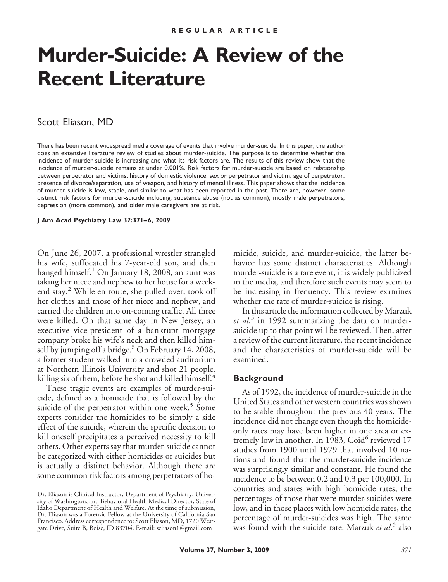# **Murder-Suicide: A Review of the Recent Literature**

## Scott Eliason, MD

There has been recent widespread media coverage of events that involve murder-suicide. In this paper, the author does an extensive literature review of studies about murder-suicide. The purpose is to determine whether the incidence of murder-suicide is increasing and what its risk factors are. The results of this review show that the incidence of murder-suicide remains at under 0.001%. Risk factors for murder-suicide are based on relationship between perpetrator and victims, history of domestic violence, sex or perpetrator and victim, age of perpetrator, presence of divorce/separation, use of weapon, and history of mental illness. This paper shows that the incidence of murder-suicide is low, stable, and similar to what has been reported in the past. There are, however, some distinct risk factors for murder-suicide including: substance abuse (not as common), mostly male perpetrators, depression (more common), and older male caregivers are at risk.

**J Am Acad Psychiatry Law 37:371– 6, 2009**

On June 26, 2007, a professional wrestler strangled his wife, suffocated his 7-year-old son, and then hanged himself.<sup>1</sup> On January 18, 2008, an aunt was taking her niece and nephew to her house for a weekend stay.<sup>2</sup> While en route, she pulled over, took off her clothes and those of her niece and nephew, and carried the children into on-coming traffic. All three were killed. On that same day in New Jersey, an executive vice-president of a bankrupt mortgage company broke his wife's neck and then killed himself by jumping off a bridge. $3$  On February 14, 2008, a former student walked into a crowded auditorium at Northern Illinois University and shot 21 people, killing six of them, before he shot and killed himself.<sup>4</sup>

These tragic events are examples of murder-suicide, defined as a homicide that is followed by the suicide of the perpetrator within one week.<sup>5</sup> Some experts consider the homicides to be simply a side effect of the suicide, wherein the specific decision to kill oneself precipitates a perceived necessity to kill others. Other experts say that murder-suicide cannot be categorized with either homicides or suicides but is actually a distinct behavior. Although there are some common risk factors among perpetrators of homicide, suicide, and murder-suicide, the latter behavior has some distinct characteristics. Although murder-suicide is a rare event, it is widely publicized in the media, and therefore such events may seem to be increasing in frequency. This review examines whether the rate of murder-suicide is rising.

In this article the information collected by Marzuk *et al*. <sup>5</sup> in 1992 summarizing the data on murdersuicide up to that point will be reviewed. Then, after a review of the current literature, the recent incidence and the characteristics of murder-suicide will be examined.

#### **Background**

As of 1992, the incidence of murder-suicide in the United States and other western countries was shown to be stable throughout the previous 40 years. The incidence did not change even though the homicideonly rates may have been higher in one area or extremely low in another. In 1983,  $\text{Coid}^6$  reviewed 17 studies from 1900 until 1979 that involved 10 nations and found that the murder-suicide incidence was surprisingly similar and constant. He found the incidence to be between 0.2 and 0.3 per 100,000. In countries and states with high homicide rates, the percentages of those that were murder-suicides were low, and in those places with low homicide rates, the percentage of murder-suicides was high. The same was found with the suicide rate. Marzuk *et al*. <sup>5</sup> also

Dr. Eliason is Clinical Instructor, Department of Psychiatry, University of Washington, and Behavioral Health Medical Director, State of Idaho Department of Health and Welfare. At the time of submission, Dr. Eliason was a Forensic Fellow at the University of California San Francisco. Address correspondence to: Scott Eliason, MD, 1720 Westgate Drive, Suite B, Boise, ID 83704. E-mail: seliason1@gmail.com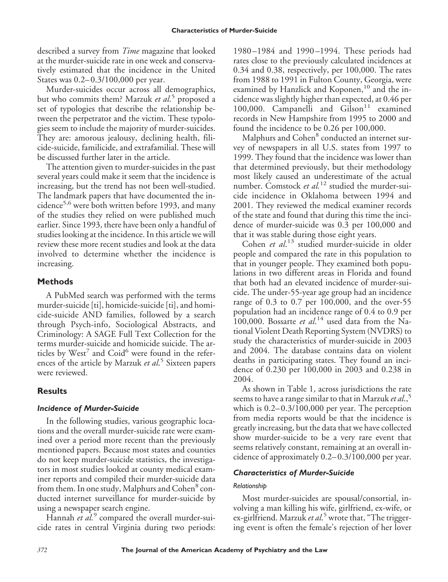described a survey from *Time* magazine that looked at the murder-suicide rate in one week and conservatively estimated that the incidence in the United States was 0.2– 0.3/100,000 per year.

Murder-suicides occur across all demographics, but who commits them? Marzuk *et al*. <sup>5</sup> proposed a set of typologies that describe the relationship between the perpetrator and the victim. These typologies seem to include the majority of murder-suicides. They are: amorous jealousy, declining health, filicide-suicide, familicide, and extrafamilial. These will be discussed further later in the article.

The attention given to murder-suicides in the past several years could make it seem that the incidence is increasing, but the trend has not been well-studied. The landmark papers that have documented the incidence<sup>5,6</sup> were both written before 1993, and many of the studies they relied on were published much earlier. Since 1993, there have been only a handful of studies looking at the incidence. In this article we will review these more recent studies and look at the data involved to determine whether the incidence is increasing.

## **Methods**

A PubMed search was performed with the terms murder-suicide [ti], homicide-suicide [ti], and homicide-suicide AND families, followed by a search through Psych-info, Sociological Abstracts, and Criminology: A SAGE Full Text Collection for the terms murder-suicide and homicide suicide. The articles by  $West^7$  and  $Coid^6$  were found in the references of the article by Marzuk *et al*. <sup>5</sup> Sixteen papers were reviewed.

# **Results**

## *Incidence of Murder-Suicide*

In the following studies, various geographic locations and the overall murder-suicide rate were examined over a period more recent than the previously mentioned papers. Because most states and counties do not keep murder-suicide statistics, the investigators in most studies looked at county medical examiner reports and compiled their murder-suicide data from them. In one study, Malphurs and Cohen<sup>8</sup> conducted internet surveillance for murder-suicide by using a newspaper search engine.

Hannah *et al.*<sup>9</sup> compared the overall murder-suicide rates in central Virginia during two periods:

1980 –1984 and 1990 –1994. These periods had rates close to the previously calculated incidences at 0.34 and 0.38, respectively, per 100,000. The rates from 1988 to 1991 in Fulton County, Georgia, were examined by Hanzlick and Koponen,<sup>10</sup> and the incidence was slightly higher than expected, at 0.46 per 100,000. Campanelli and Gilson<sup>11</sup> examined records in New Hampshire from 1995 to 2000 and found the incidence to be 0.26 per 100,000.

Malphurs and Cohen<sup>8</sup> conducted an internet survey of newspapers in all U.S. states from 1997 to 1999. They found that the incidence was lower than that determined previously, but their methodology most likely caused an underestimate of the actual number. Comstock *et al.*<sup>12</sup> studied the murder-suicide incidence in Oklahoma between 1994 and 2001. They reviewed the medical examiner records of the state and found that during this time the incidence of murder-suicide was 0.3 per 100,000 and that it was stable during those eight years.

Cohen *et al*. <sup>13</sup> studied murder-suicide in older people and compared the rate in this population to that in younger people. They examined both populations in two different areas in Florida and found that both had an elevated incidence of murder-suicide. The under-55-year age group had an incidence range of 0.3 to 0.7 per 100,000, and the over-55 population had an incidence range of 0.4 to 0.9 per  $100,000$ . Bossarte *et al*.<sup>14</sup> used data from the National Violent Death Reporting System (NVDRS) to study the characteristics of murder-suicide in 2003 and 2004. The database contains data on violent deaths in participating states. They found an incidence of 0.230 per 100,000 in 2003 and 0.238 in 2004.

As shown in Table 1, across jurisdictions the rate seems to have a range similar to that in Marzuk *et al*.,<sup>5</sup> which is  $0.2 - 0.3/100,000$  per year. The perception from media reports would be that the incidence is greatly increasing, but the data that we have collected show murder-suicide to be a very rare event that seems relatively constant, remaining at an overall incidence of approximately 0.2– 0.3/100,000 per year.

## *Characteristics of Murder-Suicide*

## *Relationship*

Most murder-suicides are spousal/consortial, involving a man killing his wife, girlfriend, ex-wife, or ex-girlfriend. Marzuk *et al*. <sup>5</sup> wrote that, "The triggering event is often the female's rejection of her lover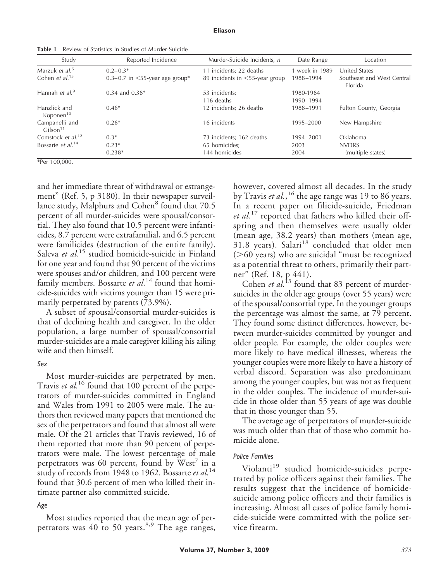#### **Eliason**

**Table 1** Review of Statistics in Studies of Murder-Suicide

| Study                                  | Reported Incidence                   | Murder-Suicide Incidents, n    | Date Range     | Location                                     |
|----------------------------------------|--------------------------------------|--------------------------------|----------------|----------------------------------------------|
| Marzuk et al. <sup>5</sup>             | $0.2 - 0.3*$                         | 11 incidents; 22 deaths        | 1 week in 1989 | <b>United States</b>                         |
| Cohen et $al^{13}$                     | 0.3–0.7 in $\leq$ 55-year age group* | 89 incidents in <55-year group | 1988-1994      | Southeast and West Central<br><b>Florida</b> |
| Hannah et al. <sup>9</sup>             | $0.34$ and $0.38*$                   | 53 incidents;                  | 1980-1984      |                                              |
|                                        |                                      | 116 deaths                     | 1990-1994      |                                              |
| Hanzlick and<br>Koponen <sup>10</sup>  | $0.46*$                              | 12 incidents; 26 deaths        | 1988-1991      | Fulton County, Georgia                       |
| Campanelli and<br>Gilson <sup>11</sup> | $0.26*$                              | 16 incidents                   | 1995-2000      | New Hampshire                                |
| Comstock et al. <sup>12</sup>          | $0.3*$                               | 73 incidents; 162 deaths       | 1994-2001      | Oklahoma                                     |
| Bossarte et al. <sup>14</sup>          | $0.23*$                              | 65 homicides;                  | 2003           | <b>NVDRS</b>                                 |
|                                        | $0.238*$                             | 144 homicides                  | 2004           | (multiple states)                            |

\*Per 100,000.

and her immediate threat of withdrawal or estrangement" (Ref. 5, p 3180). In their newspaper surveillance study, Malphurs and Cohen $\degree$  found that 70.5 percent of all murder-suicides were spousal/consortial. They also found that 10.5 percent were infanticides, 8.7 percent were extrafamilial, and 6.5 percent were familicides (destruction of the entire family). Saleva et al.<sup>15</sup> studied homicide-suicide in Finland for one year and found that 90 percent of the victims were spouses and/or children, and 100 percent were family members. Bossarte *et al*. <sup>14</sup> found that homicide-suicides with victims younger than 15 were primarily perpetrated by parents (73.9%).

A subset of spousal/consortial murder-suicides is that of declining health and caregiver. In the older population, a large number of spousal/consortial murder-suicides are a male caregiver killing his ailing wife and then himself.

#### *Sex*

Most murder-suicides are perpetrated by men. Travis et al.<sup>16</sup> found that 100 percent of the perpetrators of murder-suicides committed in England and Wales from 1991 to 2005 were male. The authors then reviewed many papers that mentioned the sex of the perpetrators and found that almost all were male. Of the 21 articles that Travis reviewed, 16 of them reported that more than 90 percent of perpetrators were male. The lowest percentage of male perpetrators was 60 percent, found by West $\prime$  in a study of records from 1948 to 1962. Bossarte *et al*. 14 found that 30.6 percent of men who killed their intimate partner also committed suicide.

#### *Age*

Most studies reported that the mean age of perpetrators was  $40 \text{ to } 50 \text{ years.}^{8,9}$  The age ranges, however, covered almost all decades. In the study by Travis *et al.*,<sup>16</sup> the age range was 19 to 86 years. In a recent paper on filicide-suicide, Friedman *et al.*<sup>17</sup> reported that fathers who killed their offspring and then themselves were usually older (mean age, 38.2 years) than mothers (mean age,  $31.8$  years). Salari<sup>18</sup> concluded that older men  $($ >60 years) who are suicidal "must be recognized as a potential threat to others, primarily their partner" (Ref. 18, p 441).

Cohen *et al*.<sup>13</sup> found that 83 percent of murdersuicides in the older age groups (over 55 years) were of the spousal/consortial type. In the younger groups the percentage was almost the same, at 79 percent. They found some distinct differences, however, between murder-suicides committed by younger and older people. For example, the older couples were more likely to have medical illnesses, whereas the younger couples were more likely to have a history of verbal discord. Separation was also predominant among the younger couples, but was not as frequent in the older couples. The incidence of murder-suicide in those older than 55 years of age was double that in those younger than 55.

The average age of perpetrators of murder-suicide was much older than that of those who commit homicide alone.

#### *Police Families*

Violanti<sup>19</sup> studied homicide-suicides perpetrated by police officers against their families. The results suggest that the incidence of homicidesuicide among police officers and their families is increasing. Almost all cases of police family homicide-suicide were committed with the police service firearm.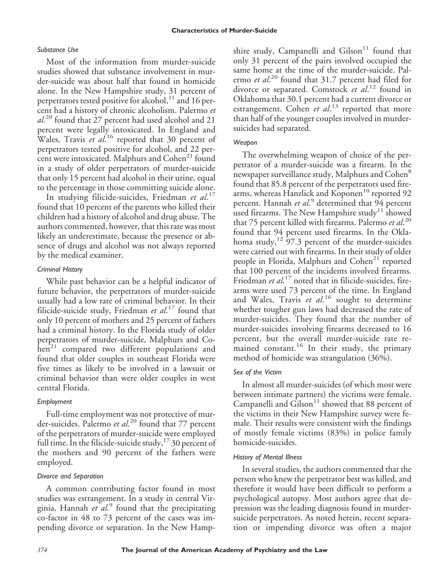#### *Substance Use*

Most of the information from murder-suicide studies showed that substance involvement in murder-suicide was about half that found in homicide alone. In the New Hampshire study, 31 percent of perpetrators tested positive for alcohol, $^{11}$  and 16 percent had a history of chronic alcoholism. Palermo *et al.*<sup>20</sup> found that 27 percent had used alcohol and 21 percent were legally intoxicated. In England and Wales, Travis *et al*.<sup>16</sup> reported that 30 percent of perpetrators tested positive for alcohol, and 22 percent were intoxicated. Malphurs and Cohen<sup>21</sup> found in a study of older perpetrators of murder-suicide that only 15 percent had alcohol in their urine, equal to the percentage in those committing suicide alone.

In studying filicide-suicides, Friedman *et al*. 17 found that 10 percent of the parents who killed their children had a history of alcohol and drug abuse. The authors commented, however, that this rate was most likely an underestimate, because the presence or absence of drugs and alcohol was not always reported by the medical examiner.

#### *Criminal History*

While past behavior can be a helpful indicator of future behavior, the perpetrators of murder-suicide usually had a low rate of criminal behavior. In their filicide-suicide study, Friedman *et al*. <sup>17</sup> found that only 10 percent of mothers and 25 percent of fathers had a criminal history. In the Florida study of older perpetrators of murder-suicide, Malphurs and Co $hen<sup>21</sup>$  compared two different populations and found that older couples in southeast Florida were five times as likely to be involved in a lawsuit or criminal behavior than were older couples in west central Florida.

## *Employment*

Full-time employment was not protective of murder-suicides. Palermo *et al*. <sup>20</sup> found that 77 percent of the perpetrators of murder-suicide were employed full time. In the filicide-suicide study,  $^{17}$  30 percent of the mothers and 90 percent of the fathers were employed.

## *Divorce and Separation*

A common contributing factor found in most studies was estrangement. In a study in central Virginia, Hannah *et al*. <sup>9</sup> found that the precipitating co-factor in 48 to 73 percent of the cases was impending divorce or separation. In the New Hampshire study, Campanelli and  $Giison<sup>11</sup>$  found that only 31 percent of the pairs involved occupied the same home at the time of the murder-suicide. Palermo *et al*. <sup>20</sup> found that 31.7 percent had filed for divorce or separated. Comstock *et al*. <sup>12</sup> found in Oklahoma that 30.1 percent had a current divorce or estrangement. Cohen *et al*. <sup>13</sup> reported that more than half of the younger couples involved in murdersuicides had separated.

## *Weapon*

The overwhelming weapon of choice of the perpetrator of a murder-suicide was a firearm. In the newspaper surveillance study, Malphurs and Cohen<sup>8</sup> found that 85.8 percent of the perpetrators used firearms, whereas Hanzlick and Koponen<sup>10</sup> reported 92 percent. Hannah et al.<sup>9</sup> determined that 94 percent used firearms. The New Hampshire study<sup>11</sup> showed that 75 percent killed with firearms. Palermo *et al*. 20 found that 94 percent used firearms. In the Oklahoma study,  $12\overline{97.3}$  percent of the murder-suicides were carried out with firearms. In their study of older people in Florida, Malphurs and  $Cohen<sup>21</sup>$  reported that 100 percent of the incidents involved firearms. Friedman *et al*. <sup>17</sup> noted that in filicide-suicides, firearms were used 73 percent of the time. In England and Wales, Travis et al.<sup>16</sup> sought to determine whether tougher gun laws had decreased the rate of murder-suicides. They found that the number of murder-suicides involving firearms decreased to 16 percent, but the overall murder-suicide rate remained constant.<sup>16</sup> In their study, the primary method of homicide was strangulation (36%).

## *Sex of the Victim*

In almost all murder-suicides (of which most were between intimate partners) the victims were female. Campanelli and Gilson<sup>11</sup> showed that 88 percent of the victims in their New Hampshire survey were female. Their results were consistent with the findings of mostly female victims (83%) in police family homicide-suicides.

## *History of Mental Illness*

In several studies, the authors commented that the person who knew the perpetrator best was killed, and therefore it would have been difficult to perform a psychological autopsy. Most authors agree that depression was the leading diagnosis found in murdersuicide perpetrators. As noted herein, recent separation or impending divorce was often a major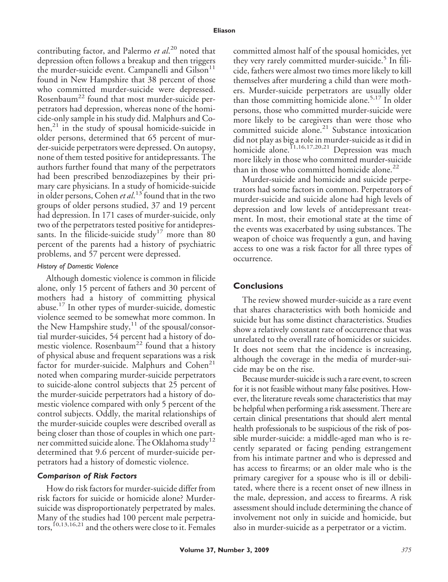contributing factor, and Palermo *et al*. <sup>20</sup> noted that depression often follows a breakup and then triggers the murder-suicide event. Campanelli and  $Gi$ lson $<sup>11</sup>$ </sup> found in New Hampshire that 38 percent of those who committed murder-suicide were depressed. Rosenbaum<sup>22</sup> found that most murder-suicide perpetrators had depression, whereas none of the homicide-only sample in his study did. Malphurs and Co $hen<sup>21</sup>$  in the study of spousal homicide-suicide in older persons, determined that 65 percent of murder-suicide perpetrators were depressed. On autopsy, none of them tested positive for antidepressants. The authors further found that many of the perpetrators had been prescribed benzodiazepines by their primary care physicians. In a study of homicide-suicide in older persons, Cohen *et al*. <sup>13</sup> found that in the two groups of older persons studied, 37 and 19 percent had depression. In 171 cases of murder-suicide, only two of the perpetrators tested positive for antidepressants. In the filicide-suicide study<sup>17</sup> more than 80 percent of the parents had a history of psychiatric problems, and 57 percent were depressed.

#### *History of Domestic Violence*

Although domestic violence is common in filicide alone, only 15 percent of fathers and 30 percent of mothers had a history of committing physical abuse.<sup>17</sup> In other types of murder-suicide, domestic violence seemed to be somewhat more common. In the New Hampshire study, $^{11}$  of the spousal/consortial murder-suicides, 54 percent had a history of domestic violence. Rosenbaum<sup>22</sup> found that a history of physical abuse and frequent separations was a risk factor for murder-suicide. Malphurs and  $Cohen<sup>21</sup>$ noted when comparing murder-suicide perpetrators to suicide-alone control subjects that 25 percent of the murder-suicide perpetrators had a history of domestic violence compared with only 5 percent of the control subjects. Oddly, the marital relationships of the murder-suicide couples were described overall as being closer than those of couples in which one partner committed suicide alone. The Oklahoma study<sup>12</sup> determined that 9.6 percent of murder-suicide perpetrators had a history of domestic violence.

#### *Comparison of Risk Factors*

How do risk factors for murder-suicide differ from risk factors for suicide or homicide alone? Murdersuicide was disproportionately perpetrated by males. Many of the studies had 100 percent male perpetrators,10,13,16,21 and the others were close to it. Females

committed almost half of the spousal homicides, yet they very rarely committed murder-suicide.<sup>5</sup> In filicide, fathers were almost two times more likely to kill themselves after murdering a child than were mothers. Murder-suicide perpetrators are usually older than those committing homicide alone.<sup>5,17</sup> In older persons, those who committed murder-suicide were more likely to be caregivers than were those who committed suicide alone.<sup>21</sup> Substance intoxication did not play as big a role in murder-suicide as it did in homicide alone.<sup>11,16,17,20,21</sup> Depression was much more likely in those who committed murder-suicide than in those who committed homicide alone. $^{22}$ 

Murder-suicide and homicide and suicide perpetrators had some factors in common. Perpetrators of murder-suicide and suicide alone had high levels of depression and low levels of antidepressant treatment. In most, their emotional state at the time of the events was exacerbated by using substances. The weapon of choice was frequently a gun, and having access to one was a risk factor for all three types of occurrence.

## **Conclusions**

The review showed murder-suicide as a rare event that shares characteristics with both homicide and suicide but has some distinct characteristics. Studies show a relatively constant rate of occurrence that was unrelated to the overall rate of homicides or suicides. It does not seem that the incidence is increasing, although the coverage in the media of murder-suicide may be on the rise.

Because murder-suicide is such a rare event, to screen for it is not feasible without many false positives. However, the literature reveals some characteristics that may be helpful when performing a risk assessment. There are certain clinical presentations that should alert mental health professionals to be suspicious of the risk of possible murder-suicide: a middle-aged man who is recently separated or facing pending estrangement from his intimate partner and who is depressed and has access to firearms; or an older male who is the primary caregiver for a spouse who is ill or debilitated, where there is a recent onset of new illness in the male, depression, and access to firearms. A risk assessment should include determining the chance of involvement not only in suicide and homicide, but also in murder-suicide as a perpetrator or a victim.